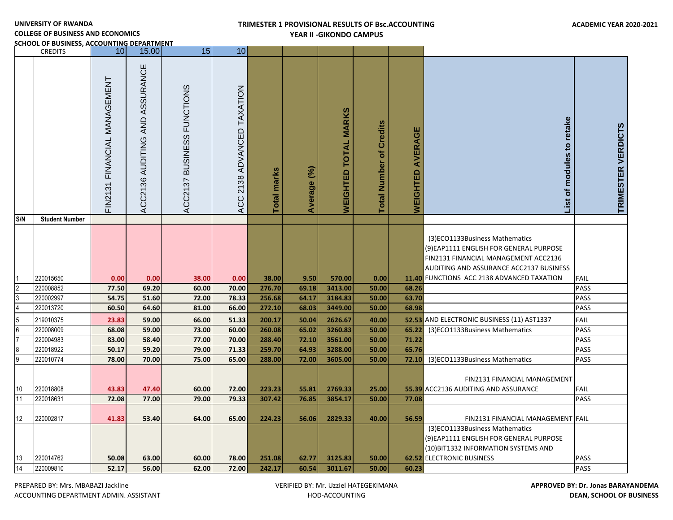# **TRIMESTER 1 PROVISIONAL RESULTS OF Bsc.ACCOUNTING YEAR II -GIKONDO CAMPUS**

and the contract of the contract of the contract of the contract of the contract of the contract of the contract of

and the state

**COLLEGE OF BUSINESS AND ECONOMICS**

**SCHOOL OF BUSINESS, ACCOUNTING DEPARTMENT**

|                 | <b>CREDITS</b>         | 10                              | 15.00                          | 15                                             | 10                            |                    |                |                             |                                             |                            |                                                                                                                                                              |                            |
|-----------------|------------------------|---------------------------------|--------------------------------|------------------------------------------------|-------------------------------|--------------------|----------------|-----------------------------|---------------------------------------------|----------------------------|--------------------------------------------------------------------------------------------------------------------------------------------------------------|----------------------------|
|                 |                        | FINANCIAL MANAGEMENT<br>FIN2131 | ACC2136 AUDITING AND ASSURANCE | <b>FUNCTIONS</b><br><b>BUSINESS</b><br>ACC2137 | 2138 ADVANCED TAXATION<br>ACC | <b>Total marks</b> | Average (%)    | <b>WEIGHTED TOTAL MARKS</b> | <b>Credits</b><br>ঁō<br><b>Total Number</b> | AVERAGE<br><b>WEIGHTED</b> | retake<br>modules to<br>৳<br>List                                                                                                                            | TRIMESTER VERDICTS         |
| S/N             | <b>Student Number</b>  |                                 |                                |                                                |                               |                    |                |                             |                                             |                            |                                                                                                                                                              |                            |
|                 |                        |                                 |                                |                                                |                               |                    |                |                             |                                             |                            | (3)ECO1133Business Mathematics<br>(9) EAP1111 ENGLISH FOR GENERAL PURPOSE<br>FIN2131 FINANCIAL MANAGEMENT ACC2136<br>AUDITING AND ASSURANCE ACC2137 BUSINESS |                            |
|                 | 220015650              | 0.00                            | 0.00                           | 38.00                                          | 0.00                          | 38.00              | 9.50           | 570.00                      | 0.00                                        |                            | 11.40 FUNCTIONS ACC 2138 ADVANCED TAXATION                                                                                                                   | <b>FAIL</b>                |
| $\overline{2}$  | 220008852              | 77.50                           | 69.20                          | 60.00                                          | 70.00                         | 276.70             | 69.18          | 3413.00                     | 50.00                                       | 68.26                      |                                                                                                                                                              | PASS                       |
| 3               | 220002997              | 54.75                           | 51.60                          | 72.00                                          | 78.33                         | 256.68             | 64.17          | 3184.83                     | 50.00                                       | 63.70                      |                                                                                                                                                              | PASS                       |
|                 | 220013720              | 60.50                           | 64.60                          | 81.00                                          | 66.00                         | 272.10             | 68.03          | 3449.00                     | 50.00                                       | 68.98                      |                                                                                                                                                              | <b>PASS</b>                |
| 5               | 219010375              | 23.83                           | 59.00                          | 66.00                                          | 51.33                         | 200.17             | 50.04          | 2626.67                     | 40.00                                       |                            | 52.53 AND ELECTRONIC BUSINESS (11) AST1337                                                                                                                   | FAIL                       |
| $6\phantom{.0}$ | 220008009              | 68.08                           | 59.00                          | 73.00                                          | 60.00                         | 260.08             | 65.02          | 3260.83                     | 50.00                                       | 65.22                      | (3)ECO1133Business Mathematics                                                                                                                               | PASS                       |
| $\overline{7}$  | 220004983              | 83.00                           | 58.40                          | 77.00                                          | 70.00                         | 288.40             | 72.10          | 3561.00                     | 50.00                                       | 71.22                      |                                                                                                                                                              | PASS                       |
| 8               | 220018922              | 50.17                           | 59.20                          | 79.00                                          | 71.33                         | 259.70             | 64.93          | 3288.00                     | 50.00                                       | 65.76                      |                                                                                                                                                              | PASS                       |
| 9               | 220010774              | 78.00                           | 70.00                          | 75.00                                          | 65.00                         | 288.00             | 72.00          | 3605.00                     | 50.00                                       | 72.10                      | (3)ECO1133Business Mathematics                                                                                                                               | <b>PASS</b>                |
| 10<br>11        | 220018808<br>220018631 | 43.83<br>72.08                  | 47.40<br>77.00                 | 60.00<br>79.00                                 | 72.00<br>79.33                | 223.23<br>307.42   | 55.81<br>76.85 | 2769.33<br>3854.17          | 25.00<br>50.00                              | 77.08                      | FIN2131 FINANCIAL MANAGEMENT<br>55.39 ACC2136 AUDITING AND ASSURANCE                                                                                         | <b>FAIL</b><br><b>PASS</b> |
|                 |                        |                                 |                                |                                                |                               |                    |                |                             |                                             |                            |                                                                                                                                                              |                            |
| 12              | 220002817              | 41.83                           | 53.40                          | 64.00                                          | 65.00                         | 224.23             | 56.06          | 2829.33                     | 40.00                                       | 56.59                      | FIN2131 FINANCIAL MANAGEMENT FAIL<br>(3)ECO1133Business Mathematics<br>(9)EAP1111 ENGLISH FOR GENERAL PURPOSE<br>(10) BIT1332 INFORMATION SYSTEMS AND        |                            |
| 13              | 220014762              | 50.08                           | 63.00                          | 60.00                                          | 78.00                         | 251.08             | 62.77          | 3125.83                     | 50.00                                       |                            | <b>62.52 ELECTRONIC BUSINESS</b>                                                                                                                             | <b>PASS</b>                |
| 14              | 220009810              | 52.17                           | 56.00                          | 62.00                                          | 72.00                         | 242.17             | 60.54          | 3011.67                     | 50.00                                       | 60.23                      |                                                                                                                                                              | PASS                       |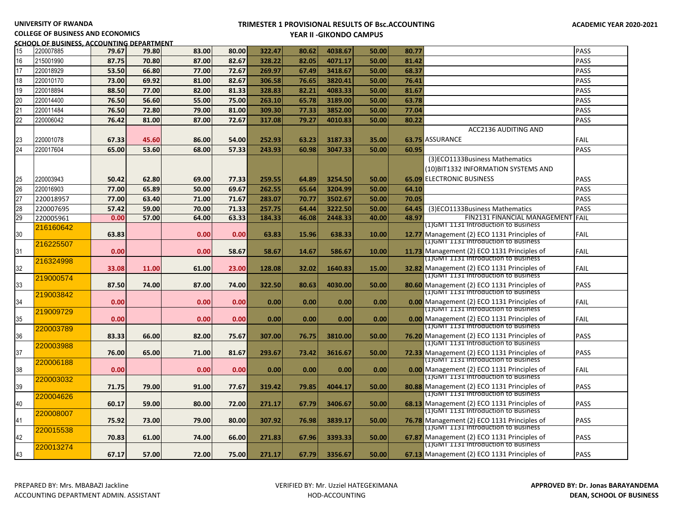#### **UNIVERSITY OF RWANDA**

### **TRIMESTER 1 PROVISIONAL RESULTS OF Bsc.ACCOUNTING YEAR II -GIKONDO CAMPUS**

**COLLEGE OF BUSINESS AND ECONOMICS**

#### **SCHOOL OF BUSINESS, ACCOUNTING DEPARTMENT**<br>|15 ||20007885 || **79.67 |** 79.80 15 220007885 **79.67 79.80 83.00 80.00 322.47 80.62 4038.67 50.00 80.77** PASS 16 215001990 **87.75 70.80 87.00 82.67 328.22 82.05 4071.17 50.00 81.42** PASS 17 220018929 **53.50 66.80 77.00 72.67 269.97 67.49 3418.67 50.00 68.37** PASS 18 220010170 **73.00 69.92 81.00 82.67 306.58 76.65 3820.41 50.00 76.41** PASS 19 220018894 **88.50 77.00 82.00 81.33 328.83 82.21 4083.33 50.00 81.67** PASS 20 220014400 **76.50 56.60 55.00 75.00 263.10 65.78 3189.00 50.00 63.78** PASS 21 220011484 **76.50 72.80 79.00 81.00 309.30 77.33 3852.00 50.00 77.04** PASS 22 220006042 **76.42 81.00 87.00 72.67 317.08 79.27 4010.83 50.00 80.22** PASS 23 220001078 **67.33 45.60 86.00 54.00 252.93 63.23 3187.33 35.00 63.75** ACC2136 AUDITING AND 63.75 ASSURANCE FAIL 24 220017604 **65.00 53.60 68.00 57.33 243.93 60.98 3047.33 50.00 60.95** PASS 25 220003943 **50.42 62.80 69.00 77.33 259.55 64.89 3254.50 50.00 65.09** (3)ECO1133Business Mathematics (10)BIT1332 INFORMATION SYSTEMS AND 65.09 ELECTRONIC BUSINESS PASS 26 220016903 **77.00 65.89 50.00 69.67 262.55 65.64 3204.99 50.00 64.10** PASS 27 220018957 **77.00 63.40 71.00 71.67 283.07 70.77 3502.67 50.00 70.05** PASS 28 220007695 **57.42 59.00 70.00 71.33 257.75 64.44 3222.50 50.00 64.45** (3)ECO1133Business Mathematics PASS 29 220005961 **0.00 57.00 64.00 63.33 184.33 46.08 2448.33 40.00 48.97** FIN2131 FINANCIAL MANAGEMENT FAIL 30 216160642 **63.83 0.00 0.00 63.83 15.96 638.33 10.00 12.77** (1)GMT 1131 Introduction to Business 12.77 Management (2) ECO 1131 Principles of FAIL 31 216225507 **0.00 0.00 58.67 58.67 14.67 586.67 10.00 11.73** (1)GMT 1131 Introduction to Business 11.73 Management (2) ECO 1131 Principles of FAIL 32 216324998 **33.08 11.00 61.00 23.00 128.08 32.02 1640.83 15.00 32.82** (1)GMT 1131 Introduction to Business **32.82** Management (2) ECO 1131 Principles of FAIL 33 219000574 **87.50 74.00 87.00 74.00 322.50 80.63 4030.00 50.00 80.60** (1)GMT 1131 Introduction to Business 80.60 Management (2) ECO 1131 Principles of PASS 34 219003842 **0.00 0.00 0.00 0.00 0.00 0.00 0.00 0.00** (1)GMT 1131 Introduction to Business **0.00** Management (2) ECO 1131 Principles of FAIL 35 219009729 **0.00 0.00 0.00 0.00 0.00 0.00 0.00 0.00** (1)GMT 1131 Introduction to Business **0.00** Management (2) ECO 1131 Principles of FAIL 36 220003789 **83.33 66.00 82.00 75.67 307.00 76.75 3810.00 50.00 76.20** (1)GMT 1131 Introduction to Business 76.20 Management (2) ECO 1131 Principles of PASS 37 220003988 **76.00 65.00 71.00 81.67 293.67 73.42 3616.67 50.00 72.33** (1)GMT 1131 Introduction to Business **72.33** Management (2) ECO 1131 Principles of PASS 38 220006188 **0.00 0.00 0.00 0.00 0.00 0.00 0.00 0.00** (1)GMT 1131 Introduction to Business **0.00** Management (2) ECO 1131 Principles of FAIL 39 220003032 **71.75 79.00 91.00 77.67 319.42 79.85 4044.17 50.00 80.88** (1)GMT 1131 Introduction to Business 80.88 Management (2) ECO 1131 Principles of PASS 40 220004626 **60.17 59.00 80.00 72.00 271.17 67.79 3406.67 50.00 68.13** (1)GMT 1131 Introduction to Business 68.13 Management (2) ECO 1131 Principles of PASS 41 220008007 **75.92 73.00 79.00 80.00 307.92 76.98 3839.17 50.00 76.78** (1)GMT 1131 Introduction to Business **76.78** Management (2) ECO 1131 Principles of PASS 42 220015538 **70.83 61.00 74.00 66.00 271.83 67.96 3393.33 50.00 67.87** (1)GMT 1131 Introduction to Business 67.87 Management (2) ECO 1131 Principles of PASS 43 220013274 **67.17 57.00 72.00 75.00 271.17 67.79 3356.67 50.00 67.13** (1)GMT 1131 Introduction to Business 67.13 Management (2) ECO 1131 Principles of PASS